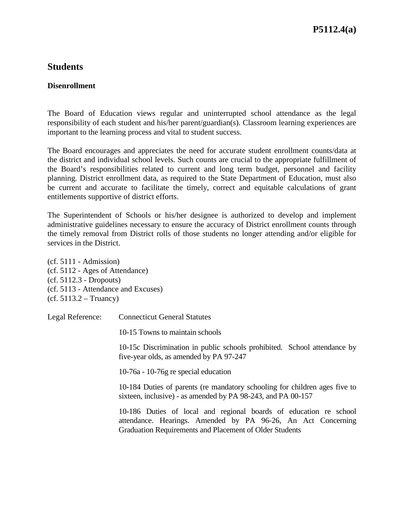## **Students**

## **Disenrollment**

The Board of Education views regular and uninterrupted school attendance as the legal responsibility of each student and his/her parent/guardian(s). Classroom learning experiences are important to the learning process and vital to student success.

The Board encourages and appreciates the need for accurate student enrollment counts/data at the district and individual school levels. Such counts are crucial to the appropriate fulfillment of the Board's responsibilities related to current and long term budget, personnel and facility planning. District enrollment data, as required to the State Department of Education, must also be current and accurate to facilitate the timely, correct and equitable calculations of grant entitlements supportive of district efforts.

The Superintendent of Schools or his/her designee is authorized to develop and implement administrative guidelines necessary to ensure the accuracy of District enrollment counts through the timely removal from District rolls of those students no longer attending and/or eligible for services in the District.

(cf. 5111 - Admission) (cf. 5112 - Ages of Attendance) (cf. 5112.3 - Dropouts) (cf. 5113 - Attendance and Excuses)  $(cf. 5113.2 - Truancy)$ 

Legal Reference: Connecticut General Statutes

10-15 Towns to maintain schools

10-15c Discrimination in public schools prohibited. School attendance by five-year olds, as amended by PA 97-247

10-76a - 10-76g re special education

10-184 Duties of parents (re mandatory schooling for children ages five to sixteen, inclusive) - as amended by PA 98-243, and PA 00-157

10-186 Duties of local and regional boards of education re school attendance. Hearings. Amended by PA 96-26, An Act Concerning Graduation Requirements and Placement of Older Students